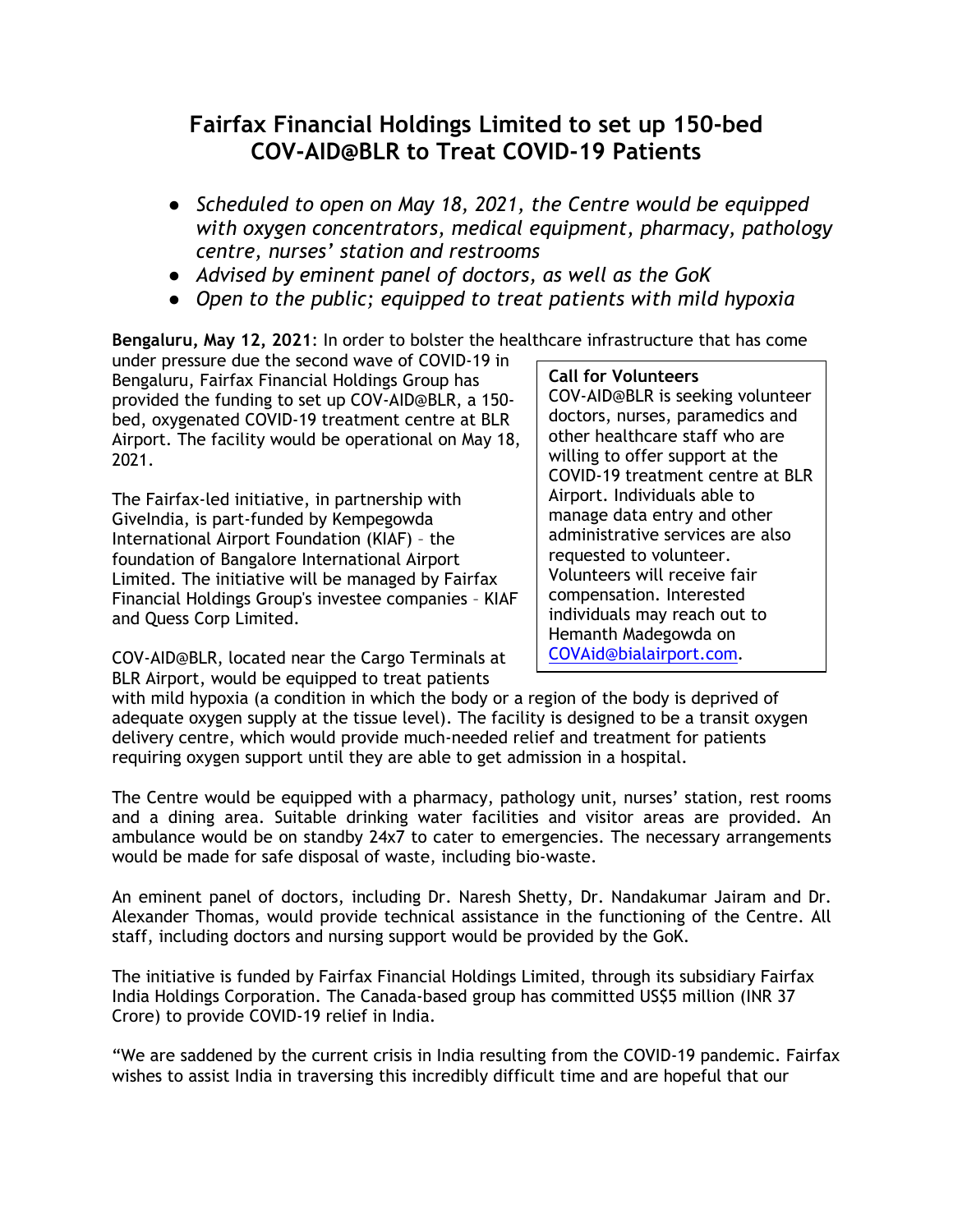# **Fairfax Financial Holdings Limited to set up 150-bed COV-AID@BLR to Treat COVID-19 Patients**

- *Scheduled to open on May 18, 2021, the Centre would be equipped with oxygen concentrators, medical equipment, pharmacy, pathology centre, nurses' station and restrooms*
- *Advised by eminent panel of doctors, as well as the GoK*
- *Open to the public; equipped to treat patients with mild hypoxia*

**Bengaluru, May 12, 2021**: In order to bolster the healthcare infrastructure that has come

under pressure due the second wave of COVID-19 in Bengaluru, Fairfax Financial Holdings Group has provided the funding to set up COV-AID@BLR, a 150 bed, oxygenated COVID-19 treatment centre at BLR Airport. The facility would be operational on May 18, 2021.

The Fairfax-led initiative, in partnership with GiveIndia, is part-funded by Kempegowda International Airport Foundation (KIAF) – the foundation of Bangalore International Airport Limited. The initiative will be managed by Fairfax Financial Holdings Group's investee companies – KIAF and Quess Corp Limited.

## **Call for Volunteers**

COV-AID@BLR is seeking volunteer doctors, nurses, paramedics and other healthcare staff who are willing to offer support at the COVID-19 treatment centre at BLR Airport. Individuals able to manage data entry and other administrative services are also requested to volunteer. Volunteers will receive fair compensation. Interested individuals may reach out to Hemanth Madegowda on [COVAid@bialairport.com.](mailto:COVAid@bialairport.com)

COV-AID@BLR, located near the Cargo Terminals at BLR Airport, would be equipped to treat patients

with mild hypoxia (a condition in which the body or a region of the body is deprived of adequate oxygen supply at the tissue level). The facility is designed to be a transit oxygen delivery centre, which would provide much-needed relief and treatment for patients requiring oxygen support until they are able to get admission in a hospital.

The Centre would be equipped with a pharmacy, pathology unit, nurses' station, rest rooms and a dining area. Suitable drinking water facilities and visitor areas are provided. An ambulance would be on standby 24x7 to cater to emergencies. The necessary arrangements would be made for safe disposal of waste, including bio-waste.

An eminent panel of doctors, including Dr. Naresh Shetty, Dr. Nandakumar Jairam and Dr. Alexander Thomas, would provide technical assistance in the functioning of the Centre. All staff, including doctors and nursing support would be provided by the GoK.

The initiative is funded by Fairfax Financial Holdings Limited, through its subsidiary Fairfax India Holdings Corporation. The Canada-based group has committed US\$5 million (INR 37 Crore) to provide COVID-19 relief in India.

"We are saddened by the current crisis in India resulting from the COVID-19 pandemic. Fairfax wishes to assist India in traversing this incredibly difficult time and are hopeful that our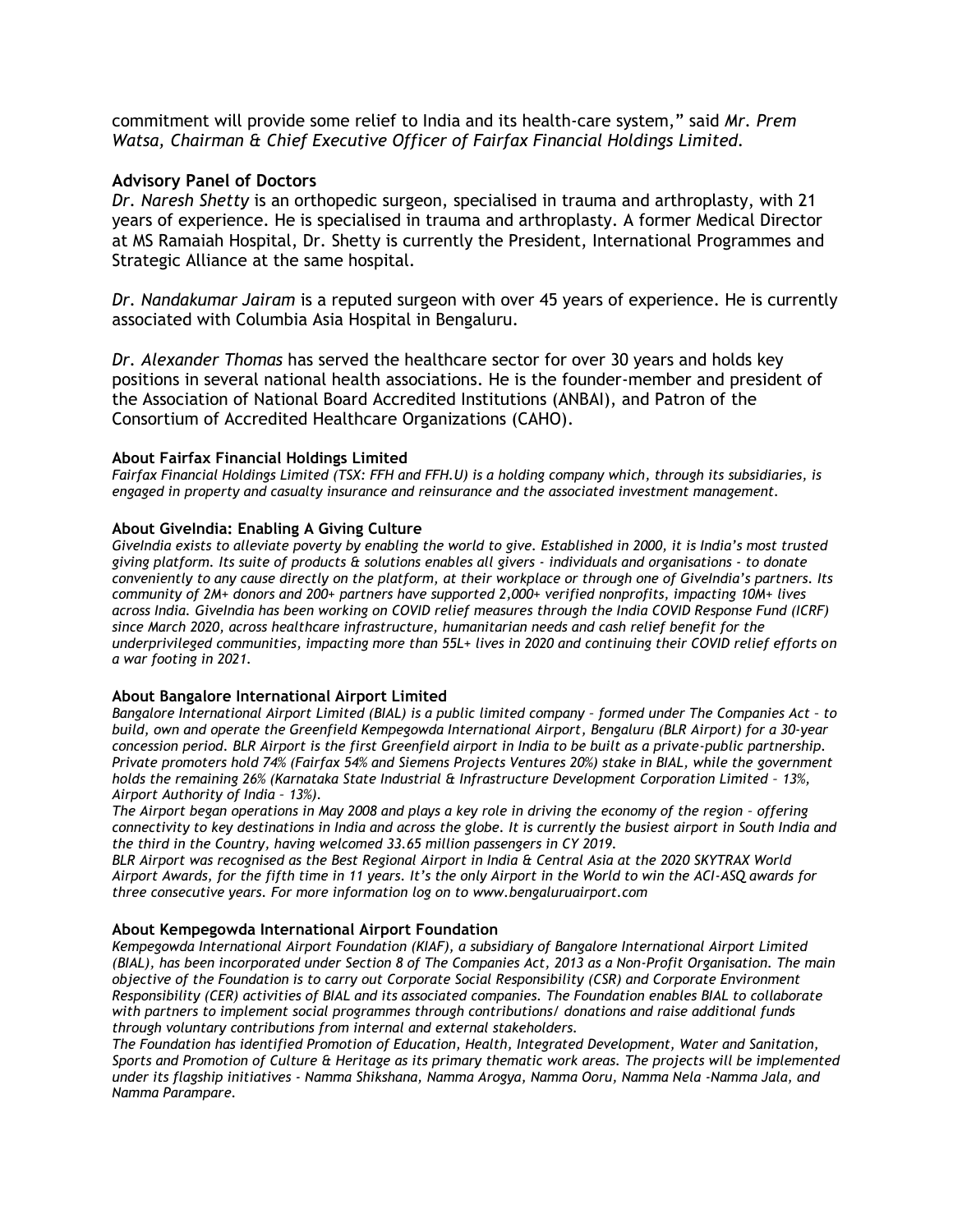commitment will provide some relief to India and its health-care system," said *Mr. Prem Watsa, Chairman & Chief Executive Officer of Fairfax Financial Holdings Limited.* 

### **Advisory Panel of Doctors**

*Dr. Naresh Shetty* is an orthopedic surgeon, specialised in trauma and arthroplasty, with 21 years of experience. He is specialised in trauma and arthroplasty. A former Medical Director at MS Ramaiah Hospital, Dr. Shetty is currently the President, International Programmes and Strategic Alliance at the same hospital.

*Dr. Nandakumar Jairam* is a reputed surgeon with over 45 years of experience. He is currently associated with Columbia Asia Hospital in Bengaluru.

*Dr. Alexander Thomas* has served the healthcare sector for over 30 years and holds key positions in several national health associations. He is the founder-member and president of the Association of National Board Accredited Institutions (ANBAI), and Patron of the Consortium of Accredited Healthcare Organizations (CAHO).

#### **About Fairfax Financial Holdings Limited**

*Fairfax Financial Holdings Limited (TSX: FFH and FFH.U) is a holding company which, through its subsidiaries, is engaged in property and casualty insurance and reinsurance and the associated investment management.*

### **About GiveIndia: Enabling A Giving Culture**

*GiveIndia exists to alleviate poverty by enabling the world to give. Established in 2000, it is India's most trusted giving platform. Its suite of products & solutions enables all givers - individuals and organisations - to donate conveniently to any cause directly on the platform, at their workplace or through one of GiveIndia's partners. Its community of 2M+ donors and 200+ partners have supported 2,000+ verified nonprofits, impacting 10M+ lives across India. GiveIndia has been working on COVID relief measures through the India COVID Response Fund (ICRF) since March 2020, across healthcare infrastructure, humanitarian needs and cash relief benefit for the underprivileged communities, impacting more than 55L+ lives in 2020 and continuing their COVID relief efforts on a war footing in 2021.*

#### **About Bangalore International Airport Limited**

*Bangalore International Airport Limited (BIAL) is a public limited company – formed under The Companies Act – to build, own and operate the Greenfield Kempegowda International Airport, Bengaluru (BLR Airport) for a 30-year concession period. BLR Airport is the first Greenfield airport in India to be built as a private-public partnership. Private promoters hold 74% (Fairfax 54% and Siemens Projects Ventures 20%) stake in BIAL, while the government holds the remaining 26% (Karnataka State Industrial & Infrastructure Development Corporation Limited - 13%, Airport Authority of India – 13%).* 

*The Airport began operations in May 2008 and plays a key role in driving the economy of the region - offering connectivity to key destinations in India and across the globe. It is currently the busiest airport in South India and the third in the Country, having welcomed 33.65 million passengers in CY 2019.*

*BLR Airport was recognised as the Best Regional Airport in India & Central Asia at the 2020 SKYTRAX World Airport Awards, for the fifth time in 11 years. It's the only Airport in the World to win the ACI-ASQ awards for three consecutive years. For more information log on to [www.bengaluruairport.com](http://www.bengaluruairport.com/)*

#### **About Kempegowda International Airport Foundation**

*Kempegowda International Airport Foundation (KIAF), a subsidiary of Bangalore International Airport Limited (BIAL), has been incorporated under Section 8 of The Companies Act, 2013 as a Non-Profit Organisation. The main objective of the Foundation is to carry out Corporate Social Responsibility (CSR) and Corporate Environment Responsibility (CER) activities of BIAL and its associated companies. The Foundation enables BIAL to collaborate with partners to implement social programmes through contributions/ donations and raise additional funds through voluntary contributions from internal and external stakeholders.* 

*The Foundation has identified Promotion of Education, Health, Integrated Development, Water and Sanitation, Sports and Promotion of Culture & Heritage as its primary thematic work areas. The projects will be implemented under its flagship initiatives - Namma Shikshana, Namma Arogya, Namma Ooru, Namma Nela -Namma Jala, and Namma Parampare.*